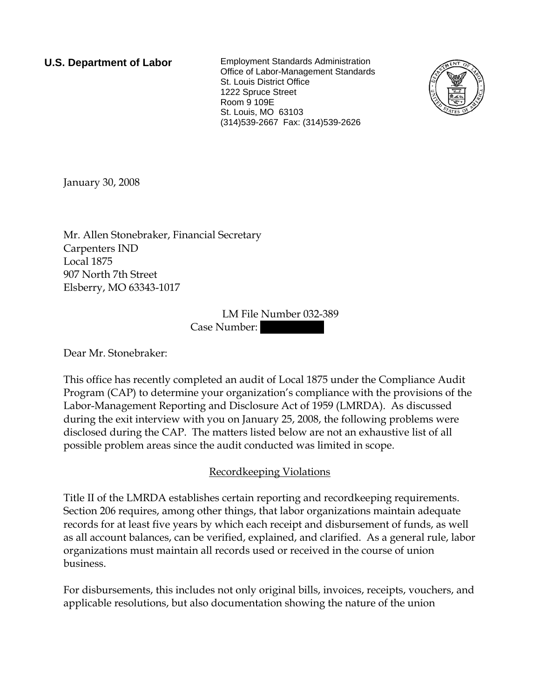**U.S. Department of Labor** Employment Standards Administration Office of Labor-Management Standards St. Louis District Office 1222 Spruce Street Room 9 109E St. Louis, MO 63103 (314)539-2667 Fax: (314)539-2626



January 30, 2008

Mr. Allen Stonebraker, Financial Secretary Carpenters IND Local 1875 907 North 7th Street Elsberry, MO 63343-1017

> LM File Number 032-389 Case Number:

Dear Mr. Stonebraker:

This office has recently completed an audit of Local 1875 under the Compliance Audit Program (CAP) to determine your organization's compliance with the provisions of the Labor-Management Reporting and Disclosure Act of 1959 (LMRDA). As discussed during the exit interview with you on January 25, 2008, the following problems were disclosed during the CAP. The matters listed below are not an exhaustive list of all possible problem areas since the audit conducted was limited in scope.

## Recordkeeping Violations

Title II of the LMRDA establishes certain reporting and recordkeeping requirements. Section 206 requires, among other things, that labor organizations maintain adequate records for at least five years by which each receipt and disbursement of funds, as well as all account balances, can be verified, explained, and clarified. As a general rule, labor organizations must maintain all records used or received in the course of union business.

For disbursements, this includes not only original bills, invoices, receipts, vouchers, and applicable resolutions, but also documentation showing the nature of the union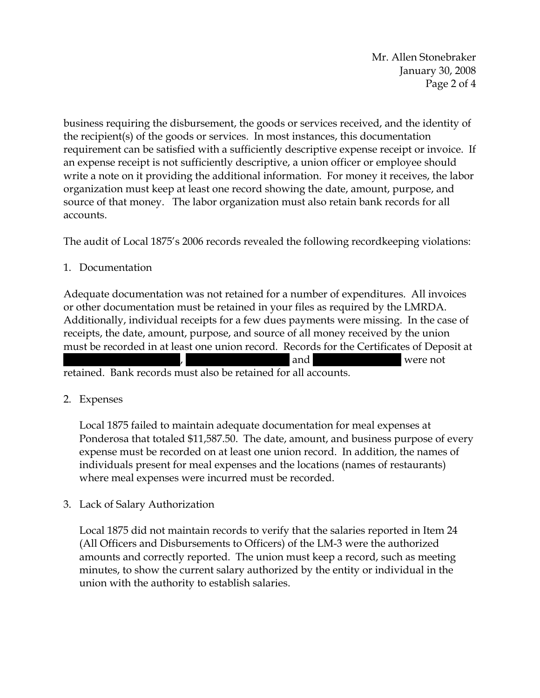Mr. Allen Stonebraker January 30, 2008 Page 2 of 4

business requiring the disbursement, the goods or services received, and the identity of the recipient(s) of the goods or services. In most instances, this documentation requirement can be satisfied with a sufficiently descriptive expense receipt or invoice. If an expense receipt is not sufficiently descriptive, a union officer or employee should write a note on it providing the additional information. For money it receives, the labor organization must keep at least one record showing the date, amount, purpose, and source of that money. The labor organization must also retain bank records for all accounts.

The audit of Local 1875's 2006 records revealed the following recordkeeping violations:

1. Documentation

Adequate documentation was not retained for a number of expenditures. All invoices or other documentation must be retained in your files as required by the LMRDA. Additionally, individual receipts for a few dues payments were missing. In the case of receipts, the date, amount, purpose, and source of all money received by the union must be recorded in at least one union record. Records for the Certificates of Deposit at  $\lambda$  and  $\lambda$  were not retained. Bank records must also be retained for all accounts.

## 2. Expenses

Local 1875 failed to maintain adequate documentation for meal expenses at Ponderosa that totaled \$11,587.50. The date, amount, and business purpose of every expense must be recorded on at least one union record. In addition, the names of individuals present for meal expenses and the locations (names of restaurants) where meal expenses were incurred must be recorded.

3. Lack of Salary Authorization

Local 1875 did not maintain records to verify that the salaries reported in Item 24 (All Officers and Disbursements to Officers) of the LM-3 were the authorized amounts and correctly reported. The union must keep a record, such as meeting minutes, to show the current salary authorized by the entity or individual in the union with the authority to establish salaries.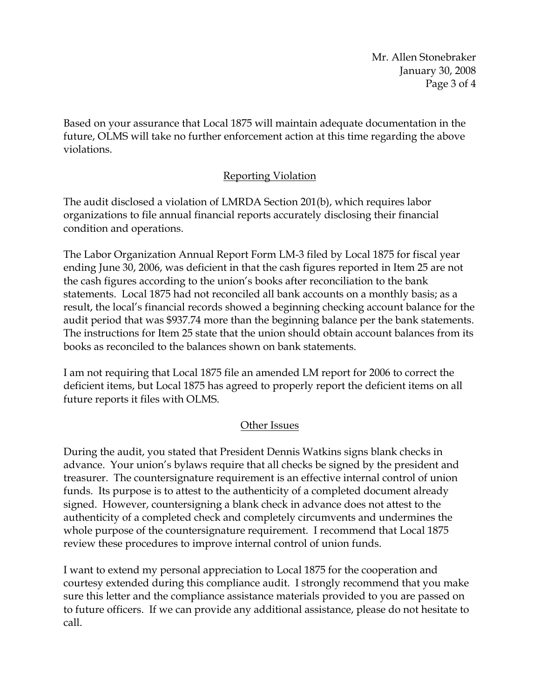Mr. Allen Stonebraker January 30, 2008 Page 3 of 4

Based on your assurance that Local 1875 will maintain adequate documentation in the future, OLMS will take no further enforcement action at this time regarding the above violations.

## Reporting Violation

The audit disclosed a violation of LMRDA Section 201(b), which requires labor organizations to file annual financial reports accurately disclosing their financial condition and operations.

The Labor Organization Annual Report Form LM-3 filed by Local 1875 for fiscal year ending June 30, 2006, was deficient in that the cash figures reported in Item 25 are not the cash figures according to the union's books after reconciliation to the bank statements. Local 1875 had not reconciled all bank accounts on a monthly basis; as a result, the local's financial records showed a beginning checking account balance for the audit period that was \$937.74 more than the beginning balance per the bank statements. The instructions for Item 25 state that the union should obtain account balances from its books as reconciled to the balances shown on bank statements.

I am not requiring that Local 1875 file an amended LM report for 2006 to correct the deficient items, but Local 1875 has agreed to properly report the deficient items on all future reports it files with OLMS.

## Other Issues

During the audit, you stated that President Dennis Watkins signs blank checks in advance. Your union's bylaws require that all checks be signed by the president and treasurer. The countersignature requirement is an effective internal control of union funds. Its purpose is to attest to the authenticity of a completed document already signed. However, countersigning a blank check in advance does not attest to the authenticity of a completed check and completely circumvents and undermines the whole purpose of the countersignature requirement. I recommend that Local 1875 review these procedures to improve internal control of union funds.

I want to extend my personal appreciation to Local 1875 for the cooperation and courtesy extended during this compliance audit. I strongly recommend that you make sure this letter and the compliance assistance materials provided to you are passed on to future officers. If we can provide any additional assistance, please do not hesitate to call.